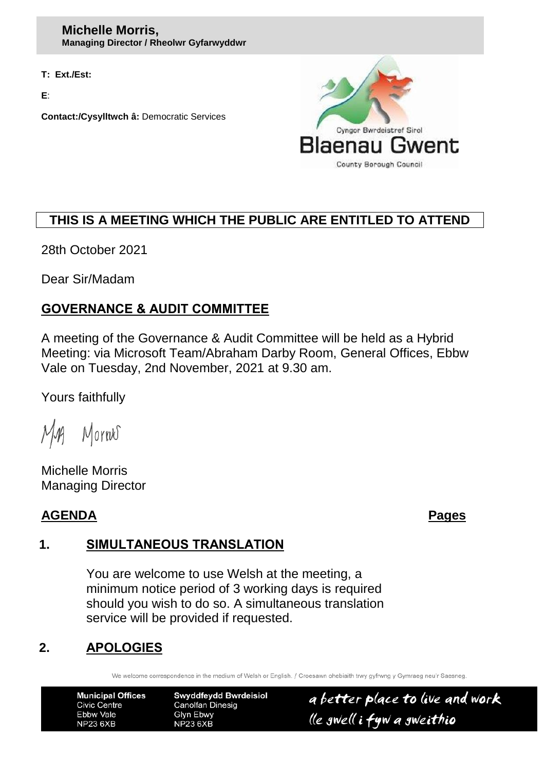**T: Ext./Est:**

**E**:

**Contact:/Cysylltwch â:** Democratic Services



# **THIS IS A MEETING WHICH THE PUBLIC ARE ENTITLED TO ATTEND**

28th October 2021

Dear Sir/Madam

# **GOVERNANCE & AUDIT COMMITTEE**

A meeting of the Governance & Audit Committee will be held as a Hybrid Meeting: via Microsoft Team/Abraham Darby Room, General Offices, Ebbw Vale on Tuesday, 2nd November, 2021 at 9.30 am.

Yours faithfully

Mornes  $M_{\rm M}$ 

Michelle Morris Managing Director

#### **AGENDA Pages**

## **1. SIMULTANEOUS TRANSLATION**

You are welcome to use Welsh at the meeting, a minimum notice period of 3 working days is required should you wish to do so. A simultaneous translation service will be provided if requested.

## **2. APOLOGIES**

We welcome correspondence in the medium of Welsh or English. / Croesawn ohebiaith trwy gyfrwng y Gymraeg neu'r Saesneg

**Municipal Offices Civic Centre** Ebbw Vale **NP23 6XB** 

**Swyddfeydd Bwrdeisiol Canolfan Dinesig Glyn Ebwy NP23 6XB** 

a better place to live and work lle gwell i fyw a gweithio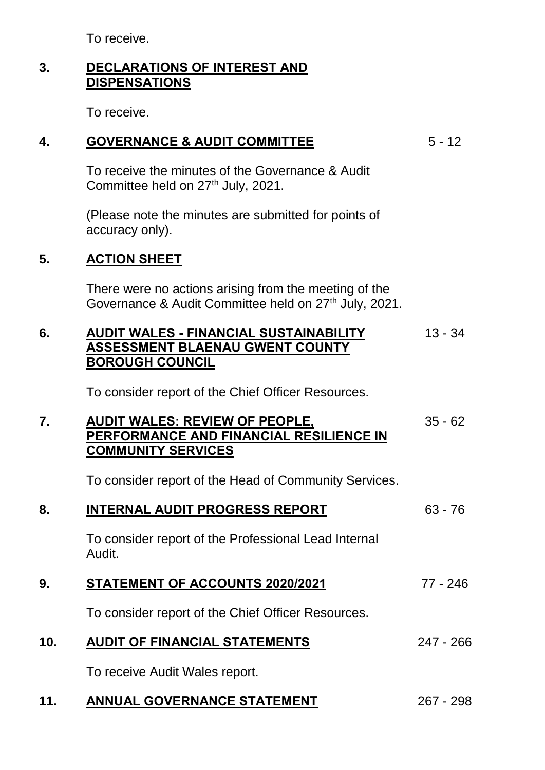To receive.

## **3. DECLARATIONS OF INTEREST AND DISPENSATIONS**

To receive.

### **4. GOVERNANCE & AUDIT COMMITTEE** 5 - 12

To receive the minutes of the Governance & Audit Committee held on 27<sup>th</sup> July, 2021.

(Please note the minutes are submitted for points of accuracy only).

## **5. ACTION SHEET**

There were no actions arising from the meeting of the Governance & Audit Committee held on 27<sup>th</sup> July, 2021.

#### **6. AUDIT WALES - FINANCIAL SUSTAINABILITY ASSESSMENT BLAENAU GWENT COUNTY BOROUGH COUNCIL** 13 - 34

To consider report of the Chief Officer Resources.

#### **7. AUDIT WALES: REVIEW OF PEOPLE, PERFORMANCE AND FINANCIAL RESILIENCE IN COMMUNITY SERVICES** 35 - 62

To consider report of the Head of Community Services.

| 8.  | <b>INTERNAL AUDIT PROGRESS REPORT</b>                          | $63 - 76$   |
|-----|----------------------------------------------------------------|-------------|
|     | To consider report of the Professional Lead Internal<br>Audit. |             |
| 9.  | <b>STATEMENT OF ACCOUNTS 2020/2021</b>                         | 77 - 246    |
|     | To consider report of the Chief Officer Resources.             |             |
| 10. | <b>AUDIT OF FINANCIAL STATEMENTS</b>                           | $247 - 266$ |
|     | To receive Audit Wales report.                                 |             |
| 11. | <b>ANNUAL GOVERNANCE STATEMENT</b>                             | $267 - 298$ |